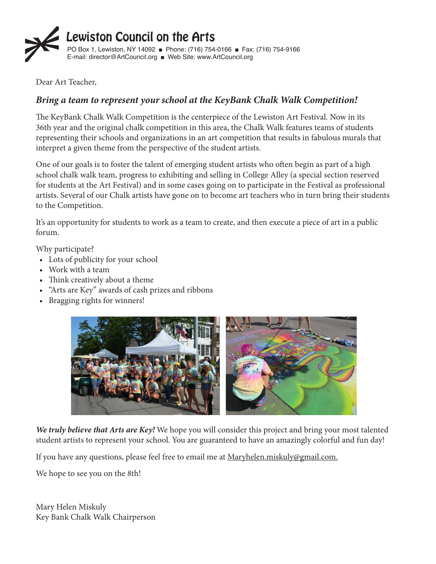

Dear Art Teacher,

### *Bring a team to represent your school at the KeyBank Chalk Walk Competition!* ǡ

The KeyBank Chalk Walk Competition is the centerpiece of the Lewiston Art Festival. Now in its 36th year and the original chalk competition in this area, the Chalk Walk features teams of students representing their schools and organizations in an art competition that results in fabulous murals that interpret a given theme from the perspective of the student artists.

One of our goals is to foster the talent of emerging student artists who often begin as part of a high school chalk walk team, progress to exhibiting and selling in College Alley (a special section reserved Ǥ for students at the Art Festival) and in some cases going on to participate in the Festival as professional artists. Several of our Chalk artists have gone on to become art teachers who in turn bring their students to the Competition. mpetition.  $\mathbf{I}$ 

It's an opportunity for students to work as a team to create, and then execute a piece of art in a public forum.

Why participate?

- Lots of publicity for your school
- Work with a team?
- Think creatively about a theme
- "Arts are Key" awards of cash prizes and ribbons
- Bragging rights for winners!



We truly believe that Arts are Key! We hope you will consider this project and bring your most talented student artists to represent your school. You are guaranteed to have an amazingly colorful and fun day! Ǥ

If you have any questions, please feel free to email me at <u>Maryhelen.miskuly@gmail.com.</u> n linguage and the control of the control of the control of the control of the control of the control of the control of the control of the control of the control of the control of the control of the control of the control re any questions, please feel free to email me at <u>Maryhelen.misk</u>

We hope to see you on the 8th!

Mary Helen Miskuly Key Bank Chalk Walk Chairperson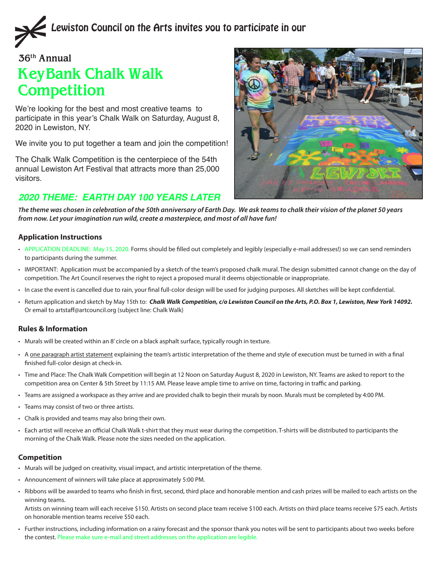

#### **36th Annual**

# **KeyBank Chalk Walk Competition**

We're looking for the best and most creative teams to participate in this year's Chalk Walk on Saturday, August 8, 2020 in Lewiston, NY.

We invite you to put together a team and join the competition!

The Chalk Walk Competition is the centerpiece of the 54th annual Lewiston Art Festival that attracts more than 25,000 visitors.

## *2020 THEME: EARTH DAY 100 YEARS LATER*



*The theme was chosen in celebration of the 50th anniversary of Earth Day. We ask teams to chalk their vision of the planet 50 years from now. Let your imagination run wild, create a masterpiece, and most of all have fun!*

#### **Application Instructions**

- • APPLICATION DEADLINE: May 15, 2020. Forms should be filled out completely and legibly (especially e-mail addresses!) so we can send reminders to participants during the summer.
- • IMPORTANT: Application must be accompanied by a sketch of the team's proposed chalk mural. The design submitted cannot change on the day of competition. The Art Council reserves the right to reject a proposed mural it deems objectionable or inappropriate.
- • In case the event is cancelled due to rain, your final full-color design will be used for judging purposes. All sketches will be kept confidential.
- • Return application and sketch by May 15th to: *Chalk Walk Competition, c/o Lewiston Council on the Arts, P.O. Box 1, Lewiston, New York 14092.* Or email to artstaff@artcouncil.org (subject line: Chalk Walk)

#### **Rules & Information**

- • Murals will be created within an 8' circle on a black asphalt surface, typically rough in texture.
- A one paragraph artist statement explaining the team's artistic interpretation of the theme and style of execution must be turned in with a final finished full-color design at check-in.
- • Time and Place: The Chalk Walk Competition will begin at 12 Noon on Saturday August 8, 2020 in Lewiston, NY. Teams are asked to report to the competition area on Center & 5th Street by 11:15 AM. Please leave ample time to arrive on time, factoring in traffic and parking.
- Teams are assigned a workspace as they arrive and are provided chalk to begin their murals by noon. Murals must be completed by 4:00 PM.
- • Teams may consist of two or three artists.
- • Chalk is provided and teams may also bring their own.
- Each artist will receive an official Chalk Walk t-shirt that they must wear during the competition. T-shirts will be distributed to participants the morning of the Chalk Walk. Please note the sizes needed on the application.

#### **Competition**

- Murals will be judged on creativity, visual impact, and artistic interpretation of the theme.
- Announcement of winners will take place at approximately 5:00 PM.
- Ribbons will be awarded to teams who finish in first, second, third place and honorable mention and cash prizes will be mailed to each artists on the winning teams.

 Artists on winning team will each receive \$150. Artists on second place team receive \$100 each. Artists on third place teams receive \$75 each. Artists on honorable mention teams receive \$50 each.

• Further instructions, including information on a rainy forecast and the sponsor thank you notes will be sent to participants about two weeks before the contest. Please make sure e-mail and street addresses on the application are legible.